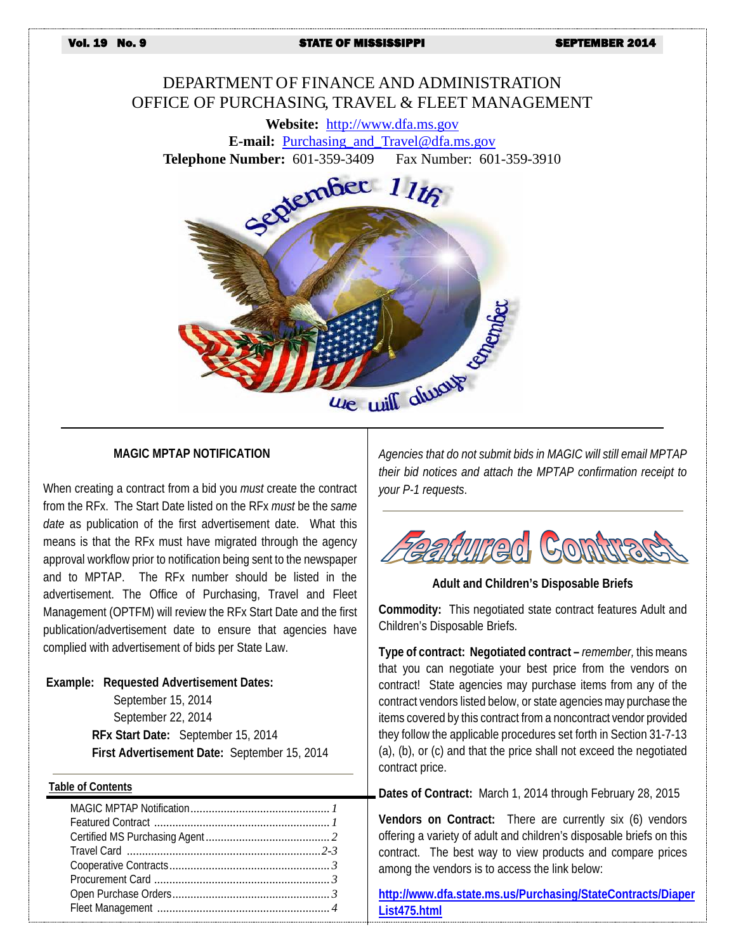Vol. 19 No. 9 STATE OF MISSISSIPPI SEPTEMBER 2014

# DEPARTMENT OF FINANCE AND ADMINISTRATION OFFICE OF PURCHASING, TRAVEL & FLEET MANAGEMENT

**Website:** [http://www.dfa.ms.gov](http://www.dfa.ms.gov/) **E-mail:** [Purchasing\\_and\\_Travel@dfa.ms.gov](mailto:Purchasing_and_Travel@dfa.ms.gov)



#### **MAGIC MPTAP NOTIFICATION**

When creating a contract from a bid you *must* create the contract from the RFx. The Start Date listed on the RFx *must* be the *same date* as publication of the first advertisement date. What this means is that the RFx must have migrated through the agency approval workflow prior to notification being sent to the newspaper and to MPTAP. The RFx number should be listed in the advertisement. The Office of Purchasing, Travel and Fleet Management (OPTFM) will review the RFx Start Date and the first publication/advertisement date to ensure that agencies have complied with advertisement of bids per State Law.

#### **Example: Requested Advertisement Dates:**

September 15, 2014 September 22, 2014 **RFx Start Date:** September 15, 2014 **First Advertisement Date:** September 15, 2014

#### **Table of Contents**

*Agencies that do not submit bids in MAGIC will still email MPTAP their bid notices and attach the MPTAP confirmation receipt to your P-1 requests*.



**Adult and Children's Disposable Briefs**

**Commodity:** This negotiated state contract features Adult and Children's Disposable Briefs.

**Type of contract: Negotiated contract –** *remember,* this means that you can negotiate your best price from the vendors on contract! State agencies may purchase items from any of the contract vendors listed below, or state agencies may purchase the items covered by this contract from a noncontract vendor provided they follow the applicable procedures set forth in Section 31-7-13 (a), (b), or (c) and that the price shall not exceed the negotiated contract price.

**Dates of Contract:** March 1, 2014 through February 28, 2015

**Vendors on Contract:** There are currently six (6) vendors offering a variety of adult and children's disposable briefs on this contract. The best way to view products and compare prices among the vendors is to access the link below:

**[http://www.dfa.state.ms.us/Purchasing/StateContracts/Diaper](http://www.dfa.state.ms.us/Purchasing/StateContracts/DiaperList475.html) [List475.html](http://www.dfa.state.ms.us/Purchasing/StateContracts/DiaperList475.html)**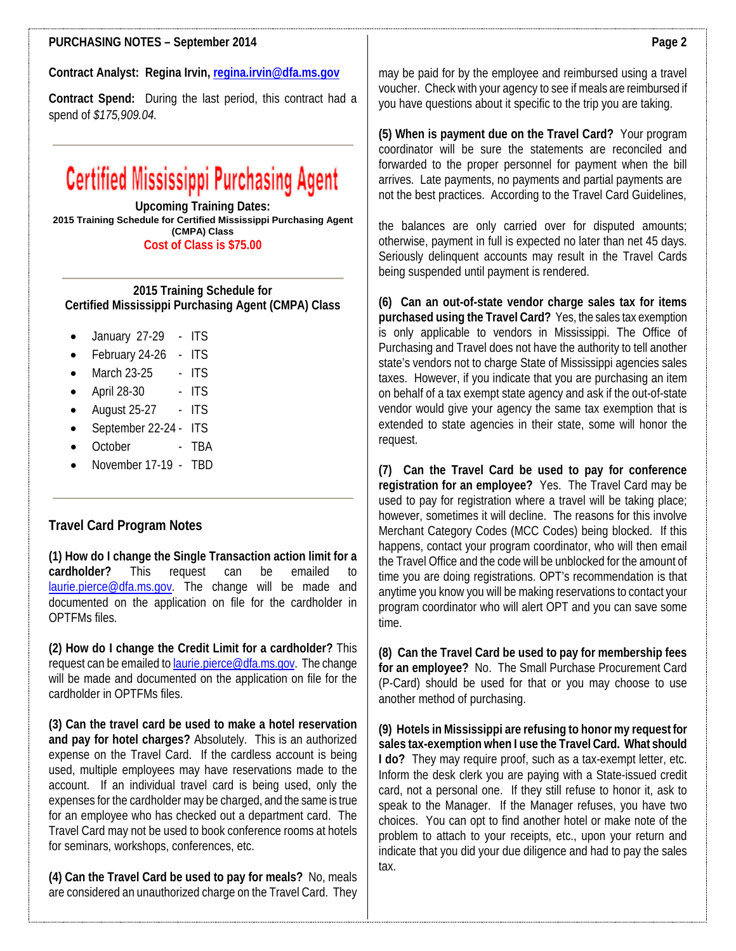### **PURCHASING NOTES – September 2014**

**Contract Analyst: Regina Irvin[, regina.irvin@dfa.ms.gov](mailto:regina.irvin@dfa.ms.gov)**

**Contract Spend:** During the last period, this contract had a spend of *\$175,909.04.*

# **Certified Mississippi Purchasing Agent**

**Upcoming Training Dates: 2015 Training Schedule for Certified Mississippi Purchasing Agent (CMPA) Class Cost of Class is \$75.00**

**2015 Training Schedule for Certified Mississippi Purchasing Agent (CMPA) Class**

- January 27-29 ITS
- February 24-26 ITS
- $\bullet$  March 23-25 ITS
- April 28-30 ITS
- August 25-27 ITS
- September 22-24 ITS
- October TBA
- November 17-19 TBD

#### **Travel Card Program Notes**

**(1) How do I change the Single Transaction action limit for a cardholder?** This request can be emailed to [laurie.pierce@dfa.ms.gov.](mailto:laurie.pierce@dfa.ms.gov) The change will be made and documented on the application on file for the cardholder in OPTFMs files.

**(2) How do I change the Credit Limit for a cardholder?** This request can be emailed t[o laurie.pierce@dfa.ms.gov.](mailto:laurie.pierce@dfa.ms.gov) The change will be made and documented on the application on file for the cardholder in OPTFMs files.

**(3) Can the travel card be used to make a hotel reservation and pay for hotel charges?** Absolutely. This is an authorized expense on the Travel Card. If the cardless account is being used, multiple employees may have reservations made to the account. If an individual travel card is being used, only the expenses for the cardholder may be charged, and the same is true for an employee who has checked out a department card. The Travel Card may not be used to book conference rooms at hotels for seminars, workshops, conferences, etc.

**(4) Can the Travel Card be used to pay for meals?** No, meals are considered an unauthorized charge on the Travel Card. They may be paid for by the employee and reimbursed using a travel voucher. Check with your agency to see if meals are reimbursed if you have questions about it specific to the trip you are taking.

**(5) When is payment due on the Travel Card?** Your program coordinator will be sure the statements are reconciled and forwarded to the proper personnel for payment when the bill arrives. Late payments, no payments and partial payments are not the best practices. According to the Travel Card Guidelines,

the balances are only carried over for disputed amounts; otherwise, payment in full is expected no later than net 45 days. Seriously delinquent accounts may result in the Travel Cards being suspended until payment is rendered.

**(6) Can an out-of-state vendor charge sales tax for items purchased using the Travel Card?** Yes, the sales tax exemption is only applicable to vendors in Mississippi. The Office of Purchasing and Travel does not have the authority to tell another state's vendors not to charge State of Mississippi agencies sales taxes. However, if you indicate that you are purchasing an item on behalf of a tax exempt state agency and ask if the out-of-state vendor would give your agency the same tax exemption that is extended to state agencies in their state, some will honor the request.

**(7) Can the Travel Card be used to pay for conference registration for an employee?** Yes. The Travel Card may be used to pay for registration where a travel will be taking place; however, sometimes it will decline. The reasons for this involve Merchant Category Codes (MCC Codes) being blocked. If this happens, contact your program coordinator, who will then email the Travel Office and the code will be unblocked for the amount of time you are doing registrations. OPT's recommendation is that anytime you know you will be making reservations to contact your program coordinator who will alert OPT and you can save some time.

**(8) Can the Travel Card be used to pay for membership fees for an employee?** No. The Small Purchase Procurement Card (P-Card) should be used for that or you may choose to use another method of purchasing.

**(9) Hotels in Mississippi are refusing to honor my request for sales tax-exemption when I use the Travel Card. What should I do?** They may require proof, such as a tax-exempt letter, etc. Inform the desk clerk you are paying with a State-issued credit card, not a personal one. If they still refuse to honor it, ask to speak to the Manager. If the Manager refuses, you have two choices. You can opt to find another hotel or make note of the problem to attach to your receipts, etc., upon your return and indicate that you did your due diligence and had to pay the sales tax.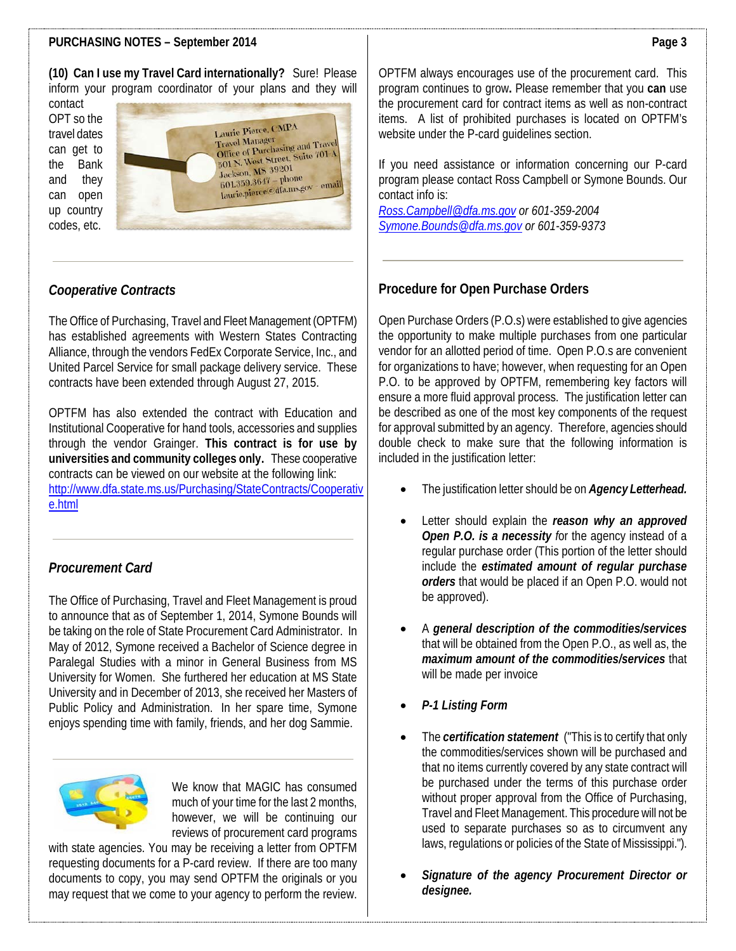## **PURCHASING NOTES – September 2014**

**(10) Can I use my Travel Card internationally?** Sure! Please inform your program coordinator of your plans and they will

contact OPT so the travel dates can get to the Bank and they can open up country codes, etc.



# *Cooperative Contracts*

The Office of Purchasing, Travel and Fleet Management (OPTFM) has established agreements with Western States Contracting Alliance, through the vendors FedEx Corporate Service, Inc., and United Parcel Service for small package delivery service. These contracts have been extended through August 27, 2015.

OPTFM has also extended the contract with Education and Institutional Cooperative for hand tools, accessories and supplies through the vendor Grainger. **This contract is for use by universities and community colleges only.** These cooperative contracts can be viewed on our website at the following link: [http://www.dfa.state.ms.us/Purchasing/StateContracts/Cooperativ](http://www.dfa.state.ms.us/Purchasing/StateContracts/Cooperative.html) [e.html](http://www.dfa.state.ms.us/Purchasing/StateContracts/Cooperative.html)

# *Procurement Card*

The Office of Purchasing, Travel and Fleet Management is proud to announce that as of September 1, 2014, Symone Bounds will be taking on the role of State Procurement Card Administrator. In May of 2012, Symone received a Bachelor of Science degree in Paralegal Studies with a minor in General Business from MS University for Women. She furthered her education at MS State University and in December of 2013, she received her Masters of Public Policy and Administration. In her spare time, Symone enjoys spending time with family, friends, and her dog Sammie.



We know that MAGIC has consumed much of your time for the last 2 months, however, we will be continuing our reviews of procurement card programs

with state agencies. You may be receiving a letter from OPTFM requesting documents for a P-card review. If there are too many documents to copy, you may send OPTFM the originals or you may request that we come to your agency to perform the review.

OPTFM always encourages use of the procurement card. This program continues to grow**.** Please remember that you **can** use the procurement card for contract items as well as non-contract items. A list of prohibited purchases is located on OPTFM's website under the P-card guidelines section.

If you need assistance or information concerning our P-card program please contact Ross Campbell or Symone Bounds. Our contact info is:

*[Ross.Campbell@dfa.ms.gov](mailto:Ross.Campbell@dfa.ms.gov) or 601-359-2004 [Symone.Bounds@dfa.ms.gov](mailto:Symone.Bounds@dfa.ms.gov) or 601-359-9373*

## **Procedure for Open Purchase Orders**

Open Purchase Orders (P.O.s) were established to give agencies the opportunity to make multiple purchases from one particular vendor for an allotted period of time. Open P.O.s are convenient for organizations to have; however, when requesting for an Open P.O. to be approved by OPTFM, remembering key factors will ensure a more fluid approval process. The justification letter can be described as one of the most key components of the request for approval submitted by an agency. Therefore, agencies should double check to make sure that the following information is included in the justification letter:

- The justification letter should be on *Agency Letterhead.*
- Letter should explain the *reason why an approved Open P.O. is a necessity f*or the agency instead of a regular purchase order (This portion of the letter should include the *estimated amount of regular purchase orders* that would be placed if an Open P.O. would not be approved).
- A *general description of the commodities/services* that will be obtained from the Open P.O., as well as, the *maximum amount of the commodities/services* that will be made per invoice
- *P-1 Listing Form*
- The *certification statement* ("This is to certify that only the commodities/services shown will be purchased and that no items currently covered by any state contract will be purchased under the terms of this purchase order without proper approval from the Office of Purchasing, Travel and Fleet Management. This procedure will not be used to separate purchases so as to circumvent any laws, regulations or policies of the State of Mississippi.").
- *Signature of the agency Procurement Director or designee.*